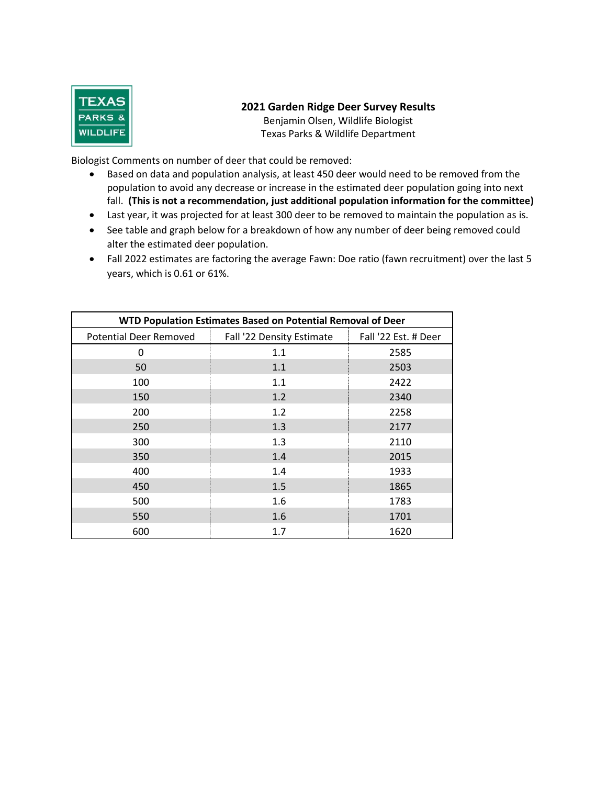

### **2021 Garden Ridge Deer Survey Results**

Benjamin Olsen, Wildlife Biologist Texas Parks & Wildlife Department

Biologist Comments on number of deer that could be removed:

- Based on data and population analysis, at least 450 deer would need to be removed from the population to avoid any decrease or increase in the estimated deer population going into next fall. **(This is not a recommendation, just additional population information for the committee)**
- Last year, it was projected for at least 300 deer to be removed to maintain the population as is.
- See table and graph below for a breakdown of how any number of deer being removed could alter the estimated deer population.
- Fall 2022 estimates are factoring the average Fawn: Doe ratio (fawn recruitment) over the last 5 years, which is 0.61 or 61%.

| WTD Population Estimates Based on Potential Removal of Deer |                           |                      |  |  |  |  |
|-------------------------------------------------------------|---------------------------|----------------------|--|--|--|--|
| <b>Potential Deer Removed</b>                               | Fall '22 Density Estimate | Fall '22 Est. # Deer |  |  |  |  |
| 0                                                           | 1.1                       | 2585                 |  |  |  |  |
| 50                                                          | 1.1                       | 2503                 |  |  |  |  |
| 100                                                         | 1.1                       | 2422                 |  |  |  |  |
| 150                                                         | 1.2                       | 2340                 |  |  |  |  |
| 200                                                         | 1.2                       | 2258                 |  |  |  |  |
| 250                                                         | 1.3                       | 2177                 |  |  |  |  |
| 300                                                         | 1.3                       | 2110                 |  |  |  |  |
| 350                                                         | 1.4                       | 2015                 |  |  |  |  |
| 400                                                         | 1.4                       | 1933                 |  |  |  |  |
| 450                                                         | 1.5                       | 1865                 |  |  |  |  |
| 500                                                         | 1.6                       | 1783                 |  |  |  |  |
| 550                                                         | 1.6                       | 1701                 |  |  |  |  |
| 600                                                         | 1.7                       | 1620                 |  |  |  |  |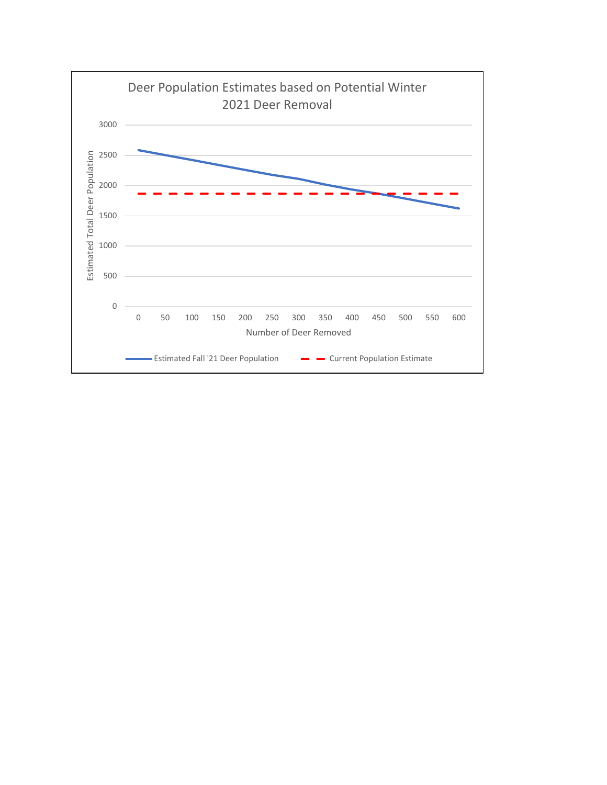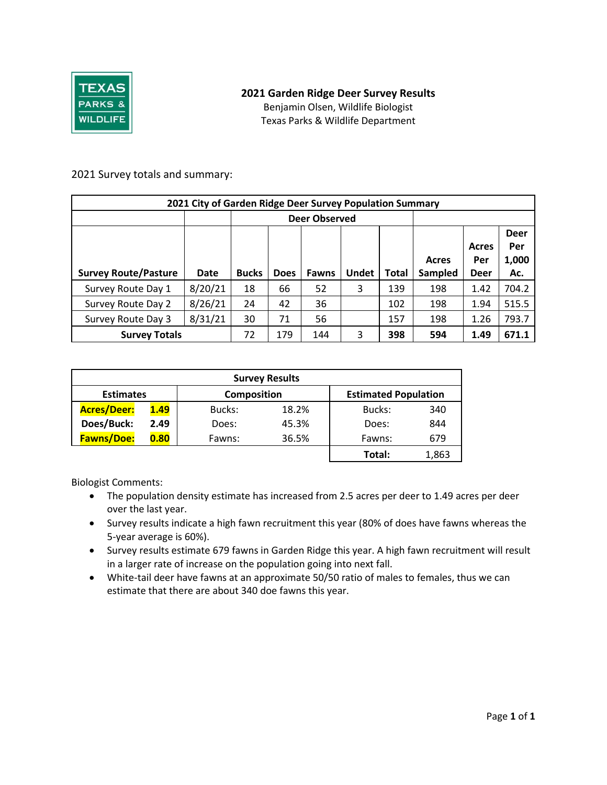

# **2021 Garden Ridge Deer Survey Results**

Benjamin Olsen, Wildlife Biologist Texas Parks & Wildlife Department

### 2021 Survey totals and summary:

| 2021 City of Garden Ridge Deer Survey Population Summary |         |              |             |                      |              |       |                |              |                             |
|----------------------------------------------------------|---------|--------------|-------------|----------------------|--------------|-------|----------------|--------------|-----------------------------|
|                                                          |         |              |             | <b>Deer Observed</b> |              |       |                |              |                             |
|                                                          |         |              |             |                      |              |       | Acres          | Acres<br>Per | <b>Deer</b><br>Per<br>1,000 |
| <b>Survey Route/Pasture</b>                              | Date    | <b>Bucks</b> | <b>Does</b> | <b>Fawns</b>         | <b>Undet</b> | Total | <b>Sampled</b> | <b>Deer</b>  | Ac.                         |
| Survey Route Day 1                                       | 8/20/21 | 18           | 66          | 52                   | 3            | 139   | 198            | 1.42         | 704.2                       |
| Survey Route Day 2                                       | 8/26/21 | 24           | 42          | 36                   |              | 102   | 198            | 1.94         | 515.5                       |
| Survey Route Day 3                                       | 8/31/21 | 30           | 71          | 56                   |              | 157   | 198            | 1.26         | 793.7                       |
| <b>Survey Totals</b>                                     | 72      | 179          | 144         | 3                    | 398          | 594   | 1.49           | 671.1        |                             |

| <b>Survey Results</b> |      |                    |       |                             |       |  |  |
|-----------------------|------|--------------------|-------|-----------------------------|-------|--|--|
| <b>Estimates</b>      |      | <b>Composition</b> |       | <b>Estimated Population</b> |       |  |  |
| <b>Acres/Deer:</b>    | 1.49 | Bucks:             | 18.2% | Bucks:                      | 340   |  |  |
| Does/Buck:            | 2.49 | Does:              | 45.3% | Does:                       | 844   |  |  |
| <b>Fawns/Doe:</b>     | 0.80 | Fawns:             | 36.5% | Fawns:                      | 679   |  |  |
|                       |      |                    |       | Total:                      | 1,863 |  |  |

Biologist Comments:

- The population density estimate has increased from 2.5 acres per deer to 1.49 acres per deer over the last year.
- Survey results indicate a high fawn recruitment this year (80% of does have fawns whereas the 5-year average is 60%).
- Survey results estimate 679 fawns in Garden Ridge this year. A high fawn recruitment will result in a larger rate of increase on the population going into next fall.
- White-tail deer have fawns at an approximate 50/50 ratio of males to females, thus we can estimate that there are about 340 doe fawns this year.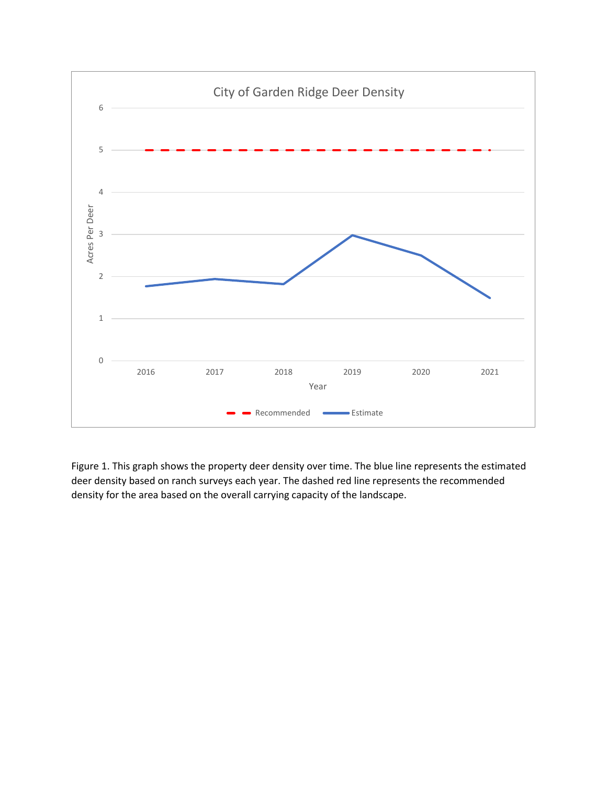

Figure 1. This graph shows the property deer density over time. The blue line represents the estimated deer density based on ranch surveys each year. The dashed red line represents the recommended density for the area based on the overall carrying capacity of the landscape.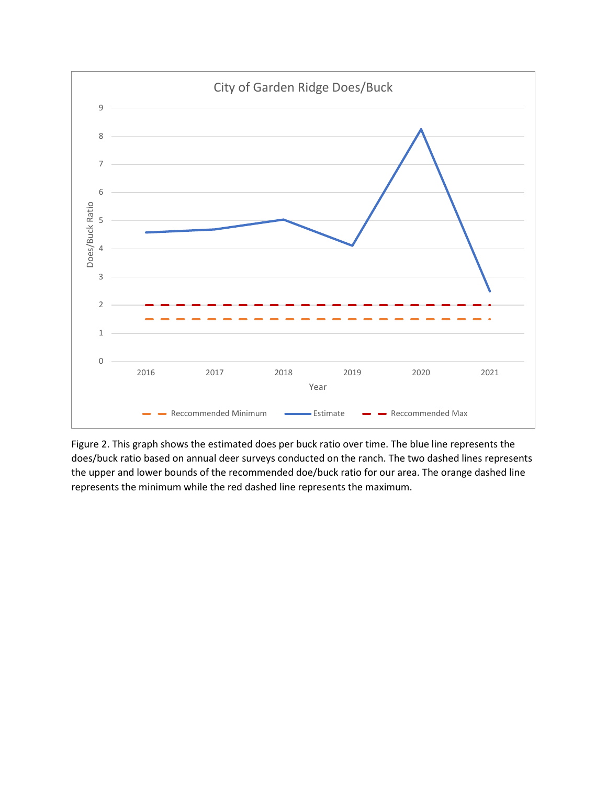

Figure 2. This graph shows the estimated does per buck ratio over time. The blue line represents the does/buck ratio based on annual deer surveys conducted on the ranch. The two dashed lines represents the upper and lower bounds of the recommended doe/buck ratio for our area. The orange dashed line represents the minimum while the red dashed line represents the maximum.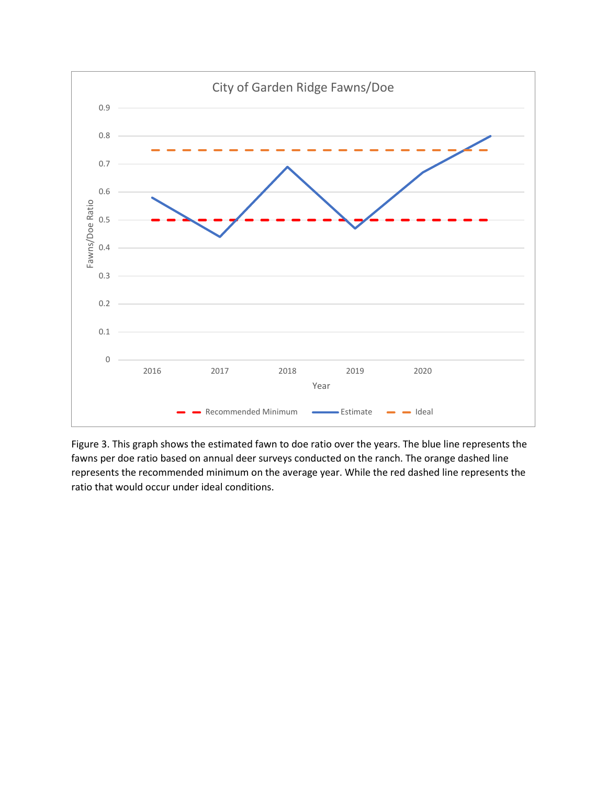

Figure 3. This graph shows the estimated fawn to doe ratio over the years. The blue line represents the fawns per doe ratio based on annual deer surveys conducted on the ranch. The orange dashed line represents the recommended minimum on the average year. While the red dashed line represents the ratio that would occur under ideal conditions.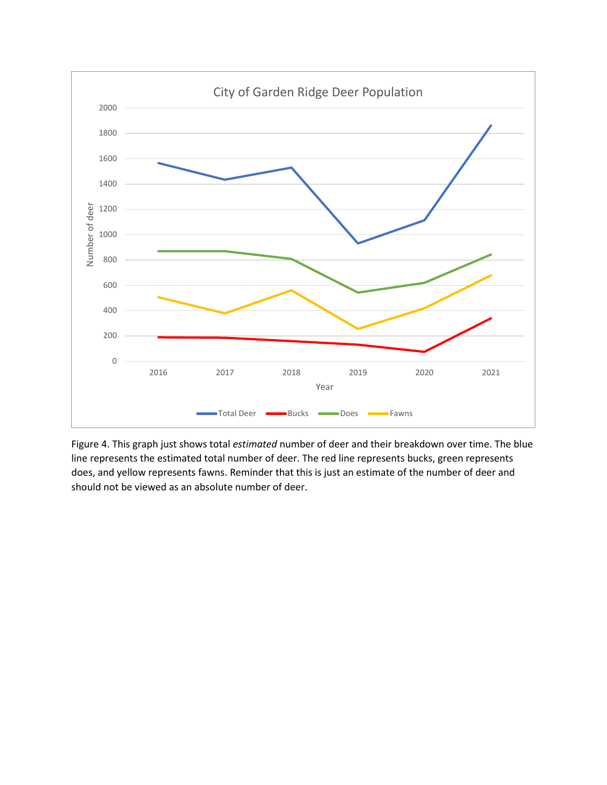

Figure 4. This graph just shows total *estimated* number of deer and their breakdown over time. The blue line represents the estimated total number of deer. The red line represents bucks, green represents does, and yellow represents fawns. Reminder that this is just an estimate of the number of deer and should not be viewed as an absolute number of deer.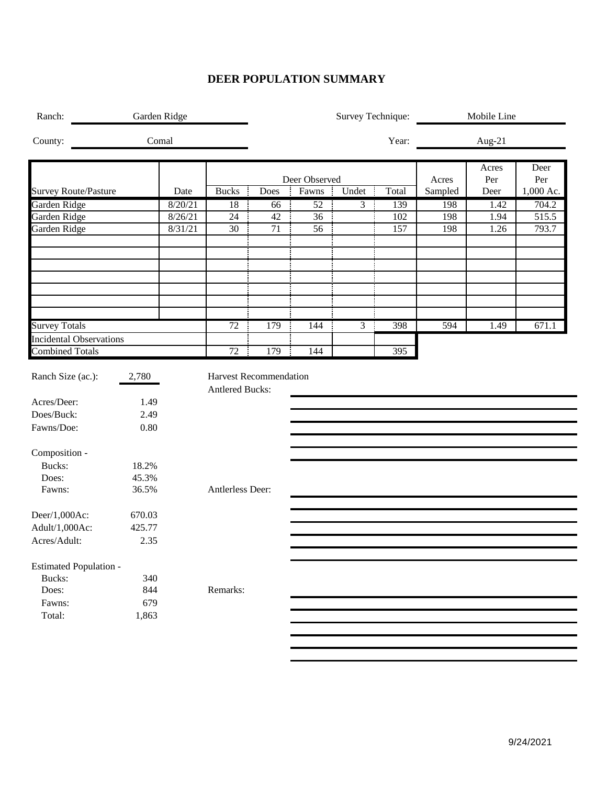## **DEER POPULATION SUMMARY**

| Comal<br>Year:<br>Aug-21<br>Acres<br>Deer Observed<br>Per<br>Acres<br>Fawns<br><b>Bucks</b><br>Undet<br>÷<br>Total<br>Sampled<br>Date<br>Does<br>Deer<br>I<br>8/20/21<br>18<br>52<br>$\mathfrak{Z}$<br>÷<br>139<br>198<br>1.42<br>66<br>24<br>42<br>8/26/21<br>36<br>102<br>198<br>1.94<br>8/31/21<br>30<br>71<br>56<br>157<br>198<br>1.26<br>72<br>179<br>398<br>144<br>$\overline{3}$<br>594<br>1.49<br>72<br><b>Combined Totals</b><br>179<br>144<br>395<br>÷<br><b>Harvest Recommendation</b><br>2,780<br><b>Antlered Bucks:</b><br>1.49<br>2.49<br>0.80<br>18.2%<br>Bucks:<br>45.3%<br>Does:<br>Fawns:<br>36.5%<br>Antlerless Deer:<br>670.03<br>425.77<br>2.35<br>Bucks:<br>340<br>Does:<br>844<br>Remarks:<br>679<br>Fawns:<br>Total:<br>1,863 | Ranch:  | Garden Ridge |  |  |  |  |  | Survey Technique: | Mobile Line |             |
|-------------------------------------------------------------------------------------------------------------------------------------------------------------------------------------------------------------------------------------------------------------------------------------------------------------------------------------------------------------------------------------------------------------------------------------------------------------------------------------------------------------------------------------------------------------------------------------------------------------------------------------------------------------------------------------------------------------------------------------------------------|---------|--------------|--|--|--|--|--|-------------------|-------------|-------------|
| <b>Survey Route/Pasture</b><br>Garden Ridge<br>Garden Ridge<br>Garden Ridge<br><b>Survey Totals</b><br><b>Incidental Observations</b><br>Ranch Size (ac.):<br>Acres/Deer:<br>Does/Buck:<br>Fawns/Doe:<br>Composition -<br>Deer/1,000Ac:<br>Adult/1,000Ac:<br>Acres/Adult:<br><b>Estimated Population -</b>                                                                                                                                                                                                                                                                                                                                                                                                                                            | County: |              |  |  |  |  |  |                   |             |             |
|                                                                                                                                                                                                                                                                                                                                                                                                                                                                                                                                                                                                                                                                                                                                                       |         |              |  |  |  |  |  |                   |             | Deer<br>Per |
|                                                                                                                                                                                                                                                                                                                                                                                                                                                                                                                                                                                                                                                                                                                                                       |         |              |  |  |  |  |  |                   |             | 1,000 Ac.   |
|                                                                                                                                                                                                                                                                                                                                                                                                                                                                                                                                                                                                                                                                                                                                                       |         |              |  |  |  |  |  |                   |             | 704.2       |
|                                                                                                                                                                                                                                                                                                                                                                                                                                                                                                                                                                                                                                                                                                                                                       |         |              |  |  |  |  |  |                   |             | 515.5       |
|                                                                                                                                                                                                                                                                                                                                                                                                                                                                                                                                                                                                                                                                                                                                                       |         |              |  |  |  |  |  |                   |             | 793.7       |
|                                                                                                                                                                                                                                                                                                                                                                                                                                                                                                                                                                                                                                                                                                                                                       |         |              |  |  |  |  |  |                   |             |             |
|                                                                                                                                                                                                                                                                                                                                                                                                                                                                                                                                                                                                                                                                                                                                                       |         |              |  |  |  |  |  |                   |             |             |
|                                                                                                                                                                                                                                                                                                                                                                                                                                                                                                                                                                                                                                                                                                                                                       |         |              |  |  |  |  |  |                   |             |             |
|                                                                                                                                                                                                                                                                                                                                                                                                                                                                                                                                                                                                                                                                                                                                                       |         |              |  |  |  |  |  |                   |             | 671.1       |
|                                                                                                                                                                                                                                                                                                                                                                                                                                                                                                                                                                                                                                                                                                                                                       |         |              |  |  |  |  |  |                   |             |             |
|                                                                                                                                                                                                                                                                                                                                                                                                                                                                                                                                                                                                                                                                                                                                                       |         |              |  |  |  |  |  |                   |             |             |
|                                                                                                                                                                                                                                                                                                                                                                                                                                                                                                                                                                                                                                                                                                                                                       |         |              |  |  |  |  |  |                   |             |             |
|                                                                                                                                                                                                                                                                                                                                                                                                                                                                                                                                                                                                                                                                                                                                                       |         |              |  |  |  |  |  |                   |             |             |
|                                                                                                                                                                                                                                                                                                                                                                                                                                                                                                                                                                                                                                                                                                                                                       |         |              |  |  |  |  |  |                   |             |             |
|                                                                                                                                                                                                                                                                                                                                                                                                                                                                                                                                                                                                                                                                                                                                                       |         |              |  |  |  |  |  |                   |             |             |
|                                                                                                                                                                                                                                                                                                                                                                                                                                                                                                                                                                                                                                                                                                                                                       |         |              |  |  |  |  |  |                   |             |             |
|                                                                                                                                                                                                                                                                                                                                                                                                                                                                                                                                                                                                                                                                                                                                                       |         |              |  |  |  |  |  |                   |             |             |
|                                                                                                                                                                                                                                                                                                                                                                                                                                                                                                                                                                                                                                                                                                                                                       |         |              |  |  |  |  |  |                   |             |             |
|                                                                                                                                                                                                                                                                                                                                                                                                                                                                                                                                                                                                                                                                                                                                                       |         |              |  |  |  |  |  |                   |             |             |
|                                                                                                                                                                                                                                                                                                                                                                                                                                                                                                                                                                                                                                                                                                                                                       |         |              |  |  |  |  |  |                   |             |             |
|                                                                                                                                                                                                                                                                                                                                                                                                                                                                                                                                                                                                                                                                                                                                                       |         |              |  |  |  |  |  |                   |             |             |
|                                                                                                                                                                                                                                                                                                                                                                                                                                                                                                                                                                                                                                                                                                                                                       |         |              |  |  |  |  |  |                   |             |             |
|                                                                                                                                                                                                                                                                                                                                                                                                                                                                                                                                                                                                                                                                                                                                                       |         |              |  |  |  |  |  |                   |             |             |
|                                                                                                                                                                                                                                                                                                                                                                                                                                                                                                                                                                                                                                                                                                                                                       |         |              |  |  |  |  |  |                   |             |             |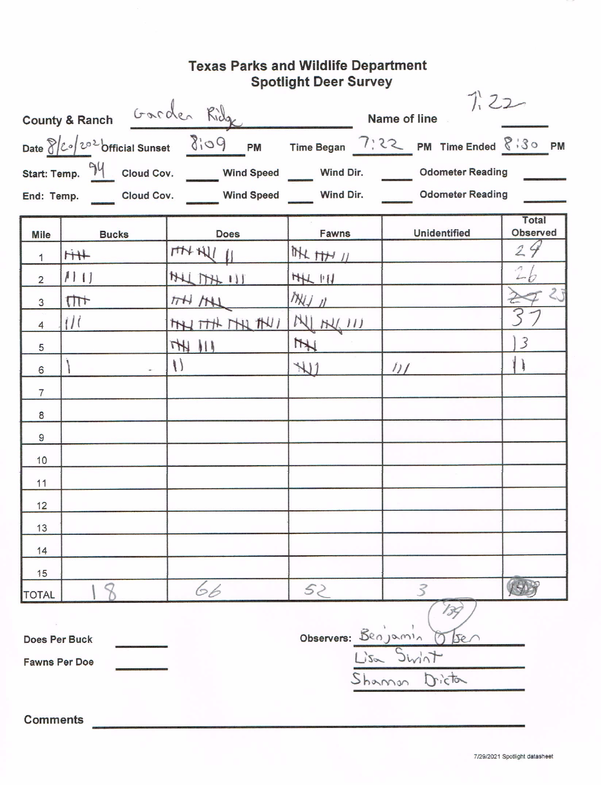# Texas Parks and Wildlife Department<br>Spotlight Deer Survey

|                 |                                                                                                                                                                                               |                        |                   | 7.22<br>County & Ranch Garden Ridge Name of line 1.22<br>Date 8/20/202 Official Sunset 8:09 PM Time Began 7:22 PM Time Ended 8:30 PM |                   |  |  |  |
|-----------------|-----------------------------------------------------------------------------------------------------------------------------------------------------------------------------------------------|------------------------|-------------------|--------------------------------------------------------------------------------------------------------------------------------------|-------------------|--|--|--|
|                 | Start: Temp. $\frac{94}{1}$ Cloud Cov. ______ Wind Speed _____ Wind Dir. ______ Odometer Reading<br>End: Temp. ______ Cloud Cov. _______ Wind Speed ______ Wind Dir. _______ Odometer Reading |                        |                   |                                                                                                                                      |                   |  |  |  |
| <b>Mile</b>     | <b>Bucks</b>                                                                                                                                                                                  | <b>Does</b>            | Fawns             | Unidentified                                                                                                                         | Total<br>Observed |  |  |  |
| 1               | $\frac{1}{4}$                                                                                                                                                                                 | THANK 11               | THE HH 11         |                                                                                                                                      | 24                |  |  |  |
| $\overline{2}$  | 111                                                                                                                                                                                           | $\frac{1}{2}$          | 44.11             |                                                                                                                                      |                   |  |  |  |
| 3               | $111 +$                                                                                                                                                                                       | $H$ $H$                | $M \rightarrow N$ |                                                                                                                                      | 23                |  |  |  |
| $\overline{4}$  | $\frac{1}{2}$                                                                                                                                                                                 | THITH MIL MU ML MU III |                   |                                                                                                                                      |                   |  |  |  |
| 5               |                                                                                                                                                                                               | THE 111                | $\frac{1}{2}$     |                                                                                                                                      | $\overline{3}$    |  |  |  |
| 6               |                                                                                                                                                                                               | $\{\}$                 | $\mathcal{H}$     | $\frac{1}{2}$                                                                                                                        | $\mathbf{1}$      |  |  |  |
| $\overline{7}$  |                                                                                                                                                                                               |                        |                   |                                                                                                                                      |                   |  |  |  |
| 8               |                                                                                                                                                                                               |                        |                   |                                                                                                                                      |                   |  |  |  |
| $\overline{9}$  |                                                                                                                                                                                               |                        |                   |                                                                                                                                      |                   |  |  |  |
| 10              |                                                                                                                                                                                               |                        |                   |                                                                                                                                      |                   |  |  |  |
| 11              |                                                                                                                                                                                               |                        |                   |                                                                                                                                      |                   |  |  |  |
| 12              |                                                                                                                                                                                               |                        |                   |                                                                                                                                      |                   |  |  |  |
| 13              |                                                                                                                                                                                               |                        |                   |                                                                                                                                      |                   |  |  |  |
| 14              |                                                                                                                                                                                               |                        |                   |                                                                                                                                      |                   |  |  |  |
| 15              |                                                                                                                                                                                               |                        |                   |                                                                                                                                      |                   |  |  |  |
| <b>TOTAL</b>    |                                                                                                                                                                                               | 66                     | 52                |                                                                                                                                      | $V + 1$           |  |  |  |
|                 | $\sim$<br>Observers: Benjamin Obser<br>Does Per Buck<br>Lisa Swint<br><b>Fawns Per Doe</b><br>Shamon Dicta                                                                                    |                        |                   |                                                                                                                                      |                   |  |  |  |
| <b>Comments</b> |                                                                                                                                                                                               |                        |                   |                                                                                                                                      |                   |  |  |  |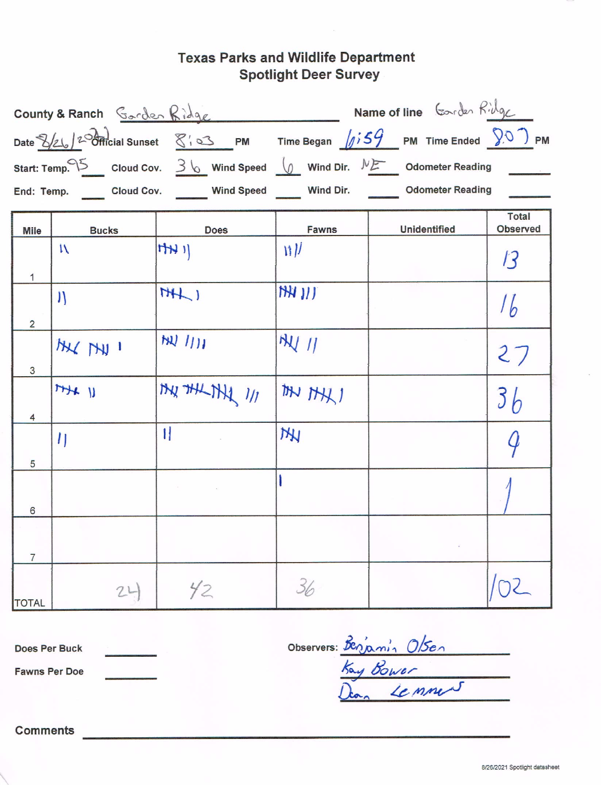# **Texas Parks and Wildlife Department Spotlight Deer Survey**

|                | Name of line Coorder Ridge<br>County & Ranch Gorden Ridge                                                                                                                                                                                                                                                                                                                                                           |                                                                                           |              |                     |                                 |  |  |  |  |
|----------------|---------------------------------------------------------------------------------------------------------------------------------------------------------------------------------------------------------------------------------------------------------------------------------------------------------------------------------------------------------------------------------------------------------------------|-------------------------------------------------------------------------------------------|--------------|---------------------|---------------------------------|--|--|--|--|
|                | Date $\frac{1}{2}\left[\frac{1}{2}\right]$ $\frac{1}{2}\frac{1}{2}\frac{1}{2}\frac{1}{2}\frac{1}{2}\frac{1}{2}\frac{1}{2}\frac{1}{2}\frac{1}{2}\frac{1}{2}\frac{1}{2}\frac{1}{2}\frac{1}{2}\frac{1}{2}\frac{1}{2}\frac{1}{2}\frac{1}{2}\frac{1}{2}\frac{1}{2}\frac{1}{2}\frac{1}{2}\frac{1}{2}\frac{1}{2}\frac{1}{2}\frac{1}{2}\frac{1}{2}\frac{1}{2}\frac{1}{2}\frac{1}{2}\frac{1}{2}\frac{1}{2}\frac{1}{2}\frac{$ |                                                                                           |              |                     |                                 |  |  |  |  |
|                | Start: Temp. $15$ Cloud Cov. 3 \ Wind Speed $\sqrt{2}$ Wind Dir. $\sqrt{25}$ Odometer Reading                                                                                                                                                                                                                                                                                                                       |                                                                                           |              |                     |                                 |  |  |  |  |
|                |                                                                                                                                                                                                                                                                                                                                                                                                                     | End: Temp. ______ Cloud Cov. _______ Wind Speed ______ Wind Dir. _______ Odometer Reading |              |                     |                                 |  |  |  |  |
| <b>Mile</b>    | <b>Bucks</b>                                                                                                                                                                                                                                                                                                                                                                                                        | <b>Does</b>                                                                               | <b>Fawns</b> | <b>Unidentified</b> | <b>Total</b><br><b>Observed</b> |  |  |  |  |
|                | $\mathbf{N}$                                                                                                                                                                                                                                                                                                                                                                                                        | H                                                                                         | 1            |                     | $\mathcal{B}$                   |  |  |  |  |
| $\mathbf{1}$   |                                                                                                                                                                                                                                                                                                                                                                                                                     |                                                                                           |              |                     |                                 |  |  |  |  |
|                | $\mathcal{V}$                                                                                                                                                                                                                                                                                                                                                                                                       | H                                                                                         | $NN$ )/)     |                     | $\frac{1}{b}$                   |  |  |  |  |
| $\overline{2}$ |                                                                                                                                                                                                                                                                                                                                                                                                                     |                                                                                           |              |                     |                                 |  |  |  |  |
|                | MY MY 1                                                                                                                                                                                                                                                                                                                                                                                                             | W111                                                                                      | $N\vee N$    |                     | 27                              |  |  |  |  |
| 3              |                                                                                                                                                                                                                                                                                                                                                                                                                     |                                                                                           |              |                     |                                 |  |  |  |  |
|                | $H + U$                                                                                                                                                                                                                                                                                                                                                                                                             | MY THE THE 1/1                                                                            | ITH THE 1    |                     | 3 <sub>b</sub>                  |  |  |  |  |
| 4              |                                                                                                                                                                                                                                                                                                                                                                                                                     |                                                                                           |              |                     |                                 |  |  |  |  |
|                | $\eta$                                                                                                                                                                                                                                                                                                                                                                                                              | $\mathbf{1}$                                                                              | <b>THI</b>   |                     |                                 |  |  |  |  |
| 5              |                                                                                                                                                                                                                                                                                                                                                                                                                     |                                                                                           |              |                     |                                 |  |  |  |  |
|                |                                                                                                                                                                                                                                                                                                                                                                                                                     |                                                                                           |              |                     |                                 |  |  |  |  |
| 6              |                                                                                                                                                                                                                                                                                                                                                                                                                     |                                                                                           |              |                     |                                 |  |  |  |  |
| $\overline{7}$ |                                                                                                                                                                                                                                                                                                                                                                                                                     |                                                                                           |              |                     |                                 |  |  |  |  |
| <b>TOTAL</b>   | 24                                                                                                                                                                                                                                                                                                                                                                                                                  | 42                                                                                        | 36           |                     |                                 |  |  |  |  |

Does Per Buck

**Fawns Per Doe** 

Observers: Benjamin Olsen

**Comments**